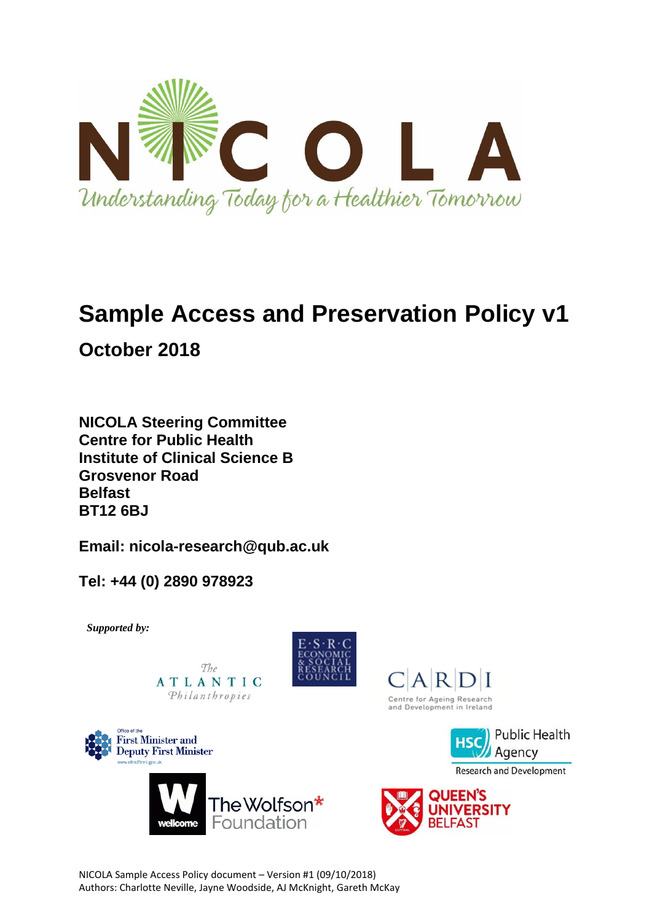

# **Sample Access and Preservation Policy v1**

**October 2018** 

**NICOLA Steering Committee Centre for Public Health Institute of Clinical Science B Grosvenor Road Belfast BT12 6BJ**

**Email: nicola-research@qub.ac.uk**

**Tel: +44 (0) 2890 978923**

*Supported by:*

 $The$ ATLANTIC Philanthropies













 $C|A|R|D|I$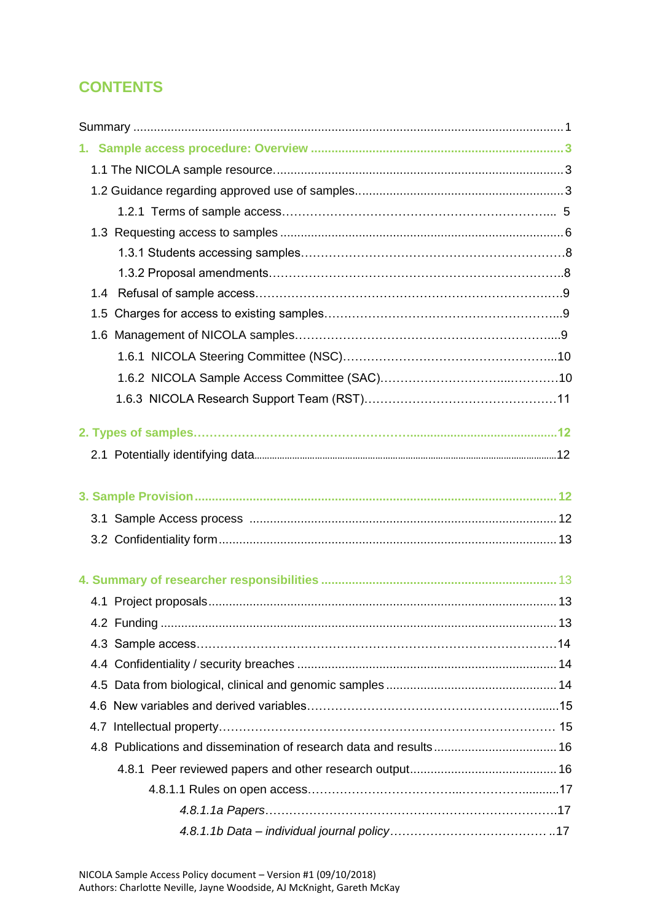# **CONTENTS**

| 1.4 |  |
|-----|--|
|     |  |
|     |  |
|     |  |
|     |  |
|     |  |
|     |  |
|     |  |
|     |  |
|     |  |
|     |  |
|     |  |
|     |  |
|     |  |
|     |  |
|     |  |
|     |  |
|     |  |
|     |  |
|     |  |
|     |  |
|     |  |
|     |  |
|     |  |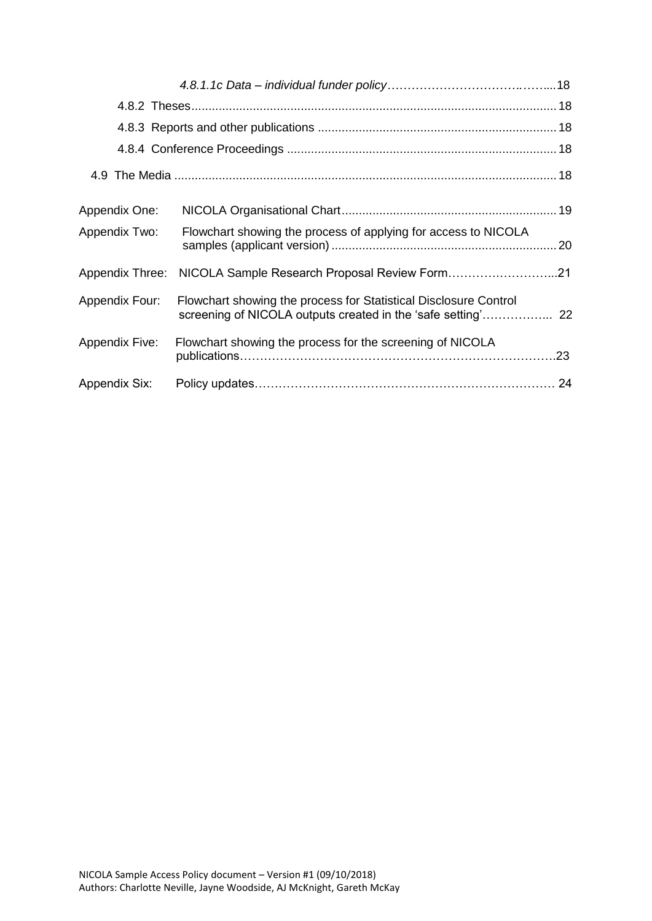| Appendix One:         |                                                                  |  |
|-----------------------|------------------------------------------------------------------|--|
| <b>Appendix Two:</b>  | Flowchart showing the process of applying for access to NICOLA   |  |
| Appendix Three:       | NICOLA Sample Research Proposal Review Form21                    |  |
| <b>Appendix Four:</b> | Flowchart showing the process for Statistical Disclosure Control |  |
| <b>Appendix Five:</b> | Flowchart showing the process for the screening of NICOLA        |  |
| <b>Appendix Six:</b>  |                                                                  |  |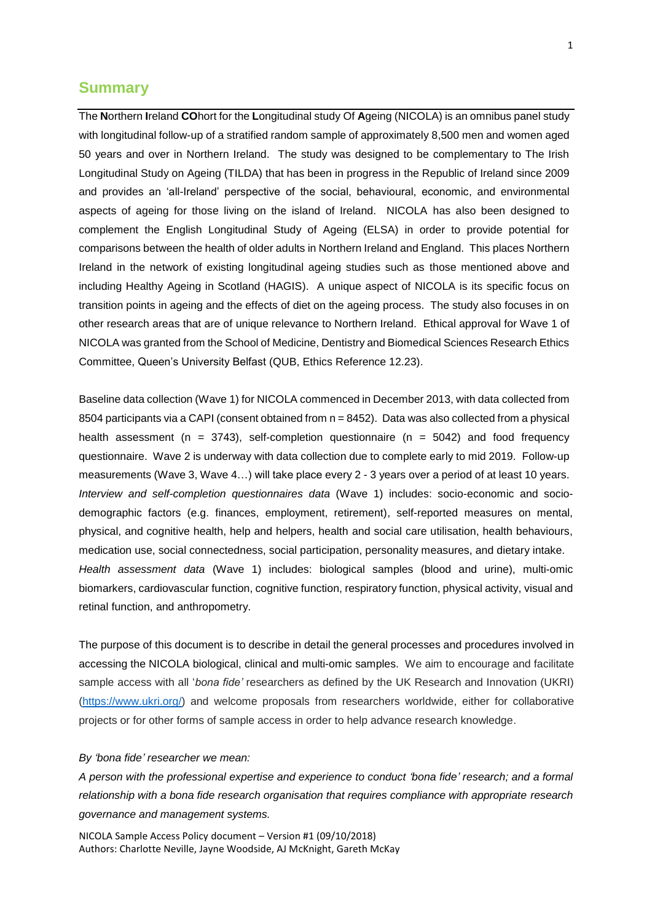# **Summary**

The **N**orthern **I**reland **CO**hort for the **L**ongitudinal study Of **A**geing (NICOLA) is an omnibus panel study with longitudinal follow-up of a stratified random sample of approximately 8,500 men and women aged 50 years and over in Northern Ireland. The study was designed to be complementary to The Irish Longitudinal Study on Ageing (TILDA) that has been in progress in the Republic of Ireland since 2009 and provides an 'all-Ireland' perspective of the social, behavioural, economic, and environmental aspects of ageing for those living on the island of Ireland. NICOLA has also been designed to complement the English Longitudinal Study of Ageing (ELSA) in order to provide potential for comparisons between the health of older adults in Northern Ireland and England. This places Northern Ireland in the network of existing longitudinal ageing studies such as those mentioned above and including Healthy Ageing in Scotland (HAGIS). A unique aspect of NICOLA is its specific focus on transition points in ageing and the effects of diet on the ageing process. The study also focuses in on other research areas that are of unique relevance to Northern Ireland. Ethical approval for Wave 1 of NICOLA was granted from the School of Medicine, Dentistry and Biomedical Sciences Research Ethics Committee, Queen's University Belfast (QUB, Ethics Reference 12.23).

Baseline data collection (Wave 1) for NICOLA commenced in December 2013, with data collected from 8504 participants via a CAPI (consent obtained from  $n = 8452$ ). Data was also collected from a physical health assessment ( $n = 3743$ ), self-completion questionnaire ( $n = 5042$ ) and food frequency questionnaire. Wave 2 is underway with data collection due to complete early to mid 2019. Follow-up measurements (Wave 3, Wave 4…) will take place every 2 - 3 years over a period of at least 10 years. *Interview and self-completion questionnaires data* (Wave 1) includes: socio-economic and sociodemographic factors (e.g. finances, employment, retirement), self-reported measures on mental, physical, and cognitive health, help and helpers, health and social care utilisation, health behaviours, medication use, social connectedness, social participation, personality measures, and dietary intake. *Health assessment data* (Wave 1) includes: biological samples (blood and urine), multi-omic biomarkers, cardiovascular function, cognitive function, respiratory function, physical activity, visual and retinal function, and anthropometry.

The purpose of this document is to describe in detail the general processes and procedures involved in accessing the NICOLA biological, clinical and multi-omic samples. We aim to encourage and facilitate sample access with all '*bona fide'* researchers as defined by the UK Research and Innovation (UKRI) [\(https://www.ukri.org/\)](https://www.ukri.org/) and welcome proposals from researchers worldwide, either for collaborative projects or for other forms of sample access in order to help advance research knowledge.

#### *By 'bona fide' researcher we mean:*

*A person with the professional expertise and experience to conduct 'bona fide' research; and a formal relationship with a bona fide research organisation that requires compliance with appropriate research governance and management systems.*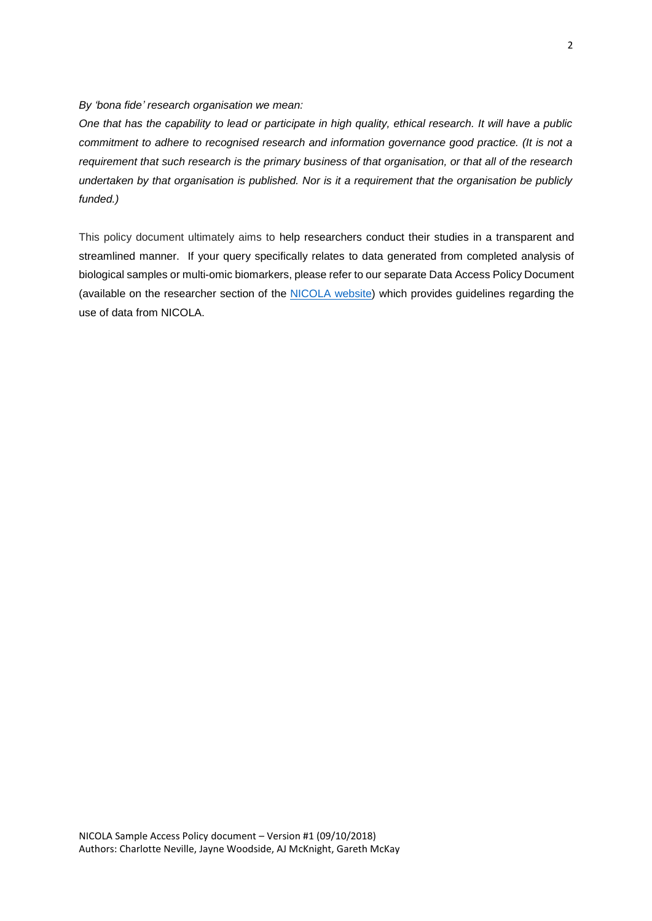*By 'bona fide' research organisation we mean:*

*One that has the capability to lead or participate in high quality, ethical research. It will have a public commitment to adhere to recognised research and information governance good practice. (It is not a requirement that such research is the primary business of that organisation, or that all of the research undertaken by that organisation is published. Nor is it a requirement that the organisation be publicly funded.)*

This policy document ultimately aims to help researchers conduct their studies in a transparent and streamlined manner. If your query specifically relates to data generated from completed analysis of biological samples or multi-omic biomarkers, please refer to our separate Data Access Policy Document (available on the researcher section of the [NICOLA website\)](https://www.qub.ac.uk/sites/NICOLA/Informationforresearchers/) which provides guidelines regarding the use of data from NICOLA.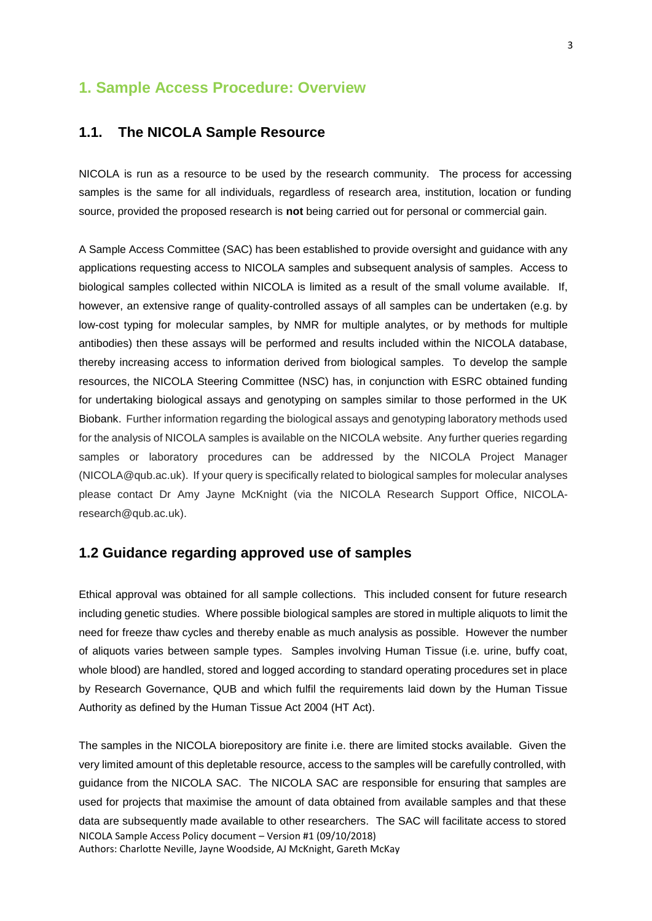# **1. Sample Access Procedure: Overview**

### **1.1. The NICOLA Sample Resource**

NICOLA is run as a resource to be used by the research community. The process for accessing samples is the same for all individuals, regardless of research area, institution, location or funding source, provided the proposed research is **not** being carried out for personal or commercial gain.

A Sample Access Committee (SAC) has been established to provide oversight and guidance with any applications requesting access to NICOLA samples and subsequent analysis of samples. Access to biological samples collected within NICOLA is limited as a result of the small volume available. If, however, an extensive range of quality-controlled assays of all samples can be undertaken (e.g. by low-cost typing for molecular samples, by NMR for multiple analytes, or by methods for multiple antibodies) then these assays will be performed and results included within the NICOLA database, thereby increasing access to information derived from biological samples. To develop the sample resources, the NICOLA Steering Committee (NSC) has, in conjunction with ESRC obtained funding for undertaking biological assays and genotyping on samples similar to those performed in the UK Biobank. Further information regarding the biological assays and genotyping laboratory methods used for the analysis of NICOLA samples is available on the NICOLA website. Any further queries regarding samples or laboratory procedures can be addressed by the NICOLA Project Manager (NICOLA@qub.ac.uk). If your query is specifically related to biological samples for molecular analyses please contact Dr Amy Jayne McKnight (via the NICOLA Research Support Office, NICOLAresearch@qub.ac.uk).

### **1.2 Guidance regarding approved use of samples**

Ethical approval was obtained for all sample collections. This included consent for future research including genetic studies. Where possible biological samples are stored in multiple aliquots to limit the need for freeze thaw cycles and thereby enable as much analysis as possible. However the number of aliquots varies between sample types. Samples involving Human Tissue (i.e. urine, buffy coat, whole blood) are handled, stored and logged according to standard operating procedures set in place by Research Governance, QUB and which fulfil the requirements laid down by the Human Tissue Authority as defined by the Human Tissue Act 2004 (HT Act).

NICOLA Sample Access Policy document – Version #1 (09/10/2018) Authors: Charlotte Neville, Jayne Woodside, AJ McKnight, Gareth McKay The samples in the NICOLA biorepository are finite i.e. there are limited stocks available. Given the very limited amount of this depletable resource, access to the samples will be carefully controlled, with guidance from the NICOLA SAC. The NICOLA SAC are responsible for ensuring that samples are used for projects that maximise the amount of data obtained from available samples and that these data are subsequently made available to other researchers. The SAC will facilitate access to stored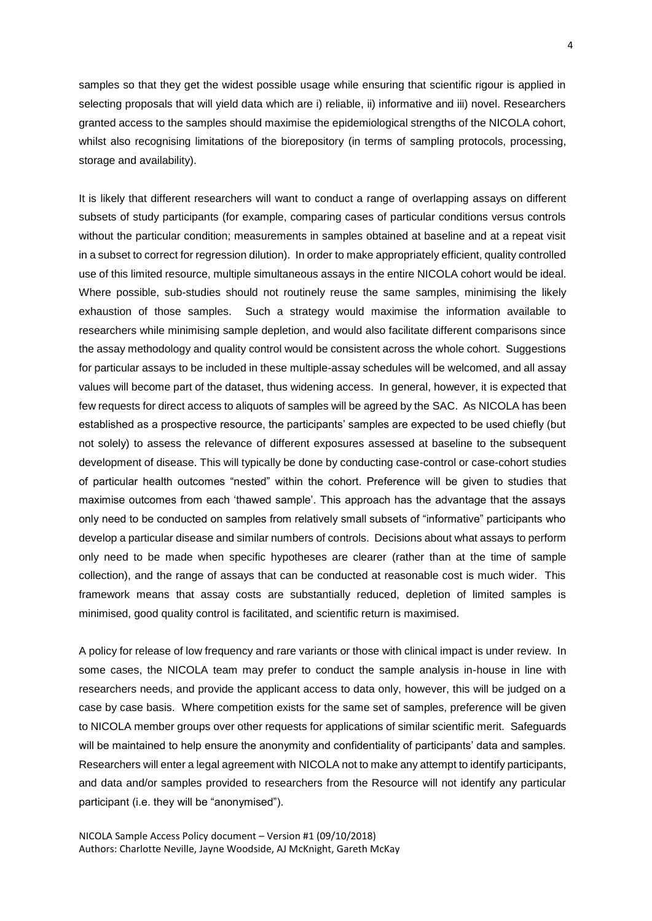samples so that they get the widest possible usage while ensuring that scientific rigour is applied in selecting proposals that will yield data which are i) reliable, ii) informative and iii) novel. Researchers granted access to the samples should maximise the epidemiological strengths of the NICOLA cohort, whilst also recognising limitations of the biorepository (in terms of sampling protocols, processing, storage and availability).

It is likely that different researchers will want to conduct a range of overlapping assays on different subsets of study participants (for example, comparing cases of particular conditions versus controls without the particular condition; measurements in samples obtained at baseline and at a repeat visit in a subset to correct for regression dilution). In order to make appropriately efficient, quality controlled use of this limited resource, multiple simultaneous assays in the entire NICOLA cohort would be ideal. Where possible, sub-studies should not routinely reuse the same samples, minimising the likely exhaustion of those samples. Such a strategy would maximise the information available to researchers while minimising sample depletion, and would also facilitate different comparisons since the assay methodology and quality control would be consistent across the whole cohort. Suggestions for particular assays to be included in these multiple-assay schedules will be welcomed, and all assay values will become part of the dataset, thus widening access. In general, however, it is expected that few requests for direct access to aliquots of samples will be agreed by the SAC. As NICOLA has been established as a prospective resource, the participants' samples are expected to be used chiefly (but not solely) to assess the relevance of different exposures assessed at baseline to the subsequent development of disease. This will typically be done by conducting case-control or case-cohort studies of particular health outcomes "nested" within the cohort. Preference will be given to studies that maximise outcomes from each 'thawed sample'. This approach has the advantage that the assays only need to be conducted on samples from relatively small subsets of "informative" participants who develop a particular disease and similar numbers of controls. Decisions about what assays to perform only need to be made when specific hypotheses are clearer (rather than at the time of sample collection), and the range of assays that can be conducted at reasonable cost is much wider. This framework means that assay costs are substantially reduced, depletion of limited samples is minimised, good quality control is facilitated, and scientific return is maximised.

A policy for release of low frequency and rare variants or those with clinical impact is under review. In some cases, the NICOLA team may prefer to conduct the sample analysis in-house in line with researchers needs, and provide the applicant access to data only, however, this will be judged on a case by case basis. Where competition exists for the same set of samples, preference will be given to NICOLA member groups over other requests for applications of similar scientific merit. Safeguards will be maintained to help ensure the anonymity and confidentiality of participants' data and samples. Researchers will enter a legal agreement with NICOLA not to make any attempt to identify participants, and data and/or samples provided to researchers from the Resource will not identify any particular participant (i.e. they will be "anonymised").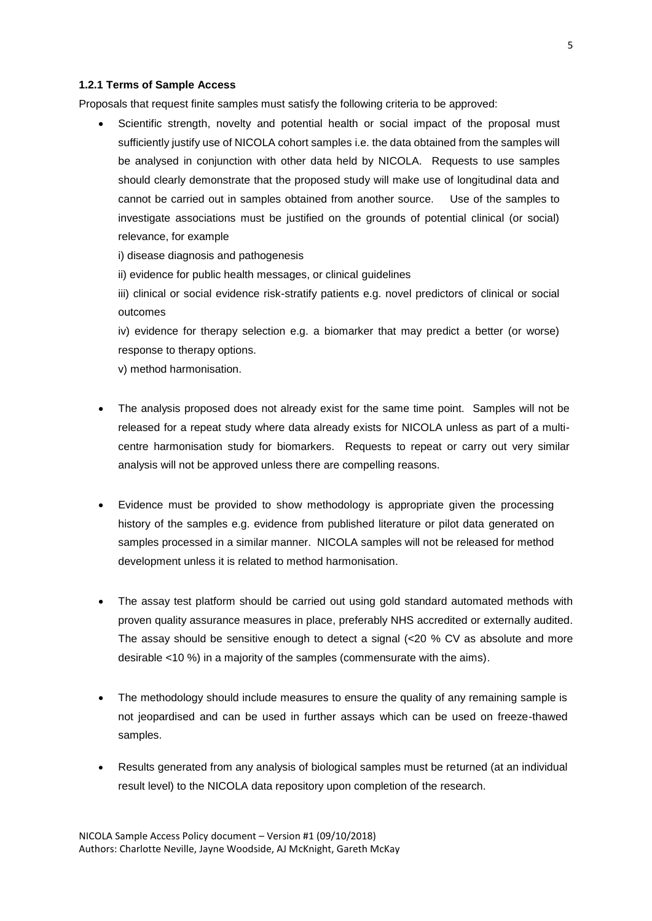#### **1.2.1 Terms of Sample Access**

Proposals that request finite samples must satisfy the following criteria to be approved:

- Scientific strength, novelty and potential health or social impact of the proposal must sufficiently justify use of NICOLA cohort samples i.e. the data obtained from the samples will be analysed in conjunction with other data held by NICOLA. Requests to use samples should clearly demonstrate that the proposed study will make use of longitudinal data and cannot be carried out in samples obtained from another source. Use of the samples to investigate associations must be justified on the grounds of potential clinical (or social) relevance, for example
	- i) disease diagnosis and pathogenesis
	- ii) evidence for public health messages, or clinical guidelines
	- iii) clinical or social evidence risk-stratify patients e.g. novel predictors of clinical or social outcomes

iv) evidence for therapy selection e.g. a biomarker that may predict a better (or worse) response to therapy options.

v) method harmonisation.

- The analysis proposed does not already exist for the same time point. Samples will not be released for a repeat study where data already exists for NICOLA unless as part of a multicentre harmonisation study for biomarkers. Requests to repeat or carry out very similar analysis will not be approved unless there are compelling reasons.
- Evidence must be provided to show methodology is appropriate given the processing history of the samples e.g. evidence from published literature or pilot data generated on samples processed in a similar manner. NICOLA samples will not be released for method development unless it is related to method harmonisation.
- The assay test platform should be carried out using gold standard automated methods with proven quality assurance measures in place, preferably NHS accredited or externally audited. The assay should be sensitive enough to detect a signal (<20 % CV as absolute and more desirable <10 %) in a majority of the samples (commensurate with the aims).
- The methodology should include measures to ensure the quality of any remaining sample is not jeopardised and can be used in further assays which can be used on freeze-thawed samples.
- Results generated from any analysis of biological samples must be returned (at an individual result level) to the NICOLA data repository upon completion of the research.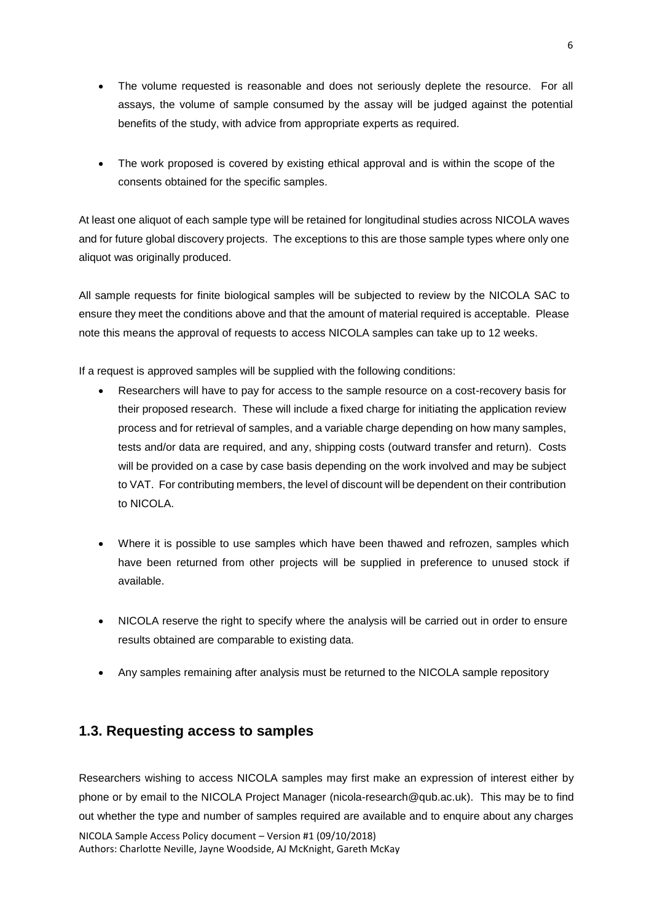- The volume requested is reasonable and does not seriously deplete the resource. For all assays, the volume of sample consumed by the assay will be judged against the potential benefits of the study, with advice from appropriate experts as required.
- The work proposed is covered by existing ethical approval and is within the scope of the consents obtained for the specific samples.

At least one aliquot of each sample type will be retained for longitudinal studies across NICOLA waves and for future global discovery projects. The exceptions to this are those sample types where only one aliquot was originally produced.

All sample requests for finite biological samples will be subjected to review by the NICOLA SAC to ensure they meet the conditions above and that the amount of material required is acceptable. Please note this means the approval of requests to access NICOLA samples can take up to 12 weeks.

If a request is approved samples will be supplied with the following conditions:

- Researchers will have to pay for access to the sample resource on a cost-recovery basis for their proposed research. These will include a fixed charge for initiating the application review process and for retrieval of samples, and a variable charge depending on how many samples, tests and/or data are required, and any, shipping costs (outward transfer and return). Costs will be provided on a case by case basis depending on the work involved and may be subject to VAT. For contributing members, the level of discount will be dependent on their contribution to NICOLA.
- Where it is possible to use samples which have been thawed and refrozen, samples which have been returned from other projects will be supplied in preference to unused stock if available.
- NICOLA reserve the right to specify where the analysis will be carried out in order to ensure results obtained are comparable to existing data.
- Any samples remaining after analysis must be returned to the NICOLA sample repository

# **1.3. Requesting access to samples**

NICOLA Sample Access Policy document – Version #1 (09/10/2018) Authors: Charlotte Neville, Jayne Woodside, AJ McKnight, Gareth McKay Researchers wishing to access NICOLA samples may first make an expression of interest either by phone or by email to the NICOLA Project Manager (nicola-research@qub.ac.uk). This may be to find out whether the type and number of samples required are available and to enquire about any charges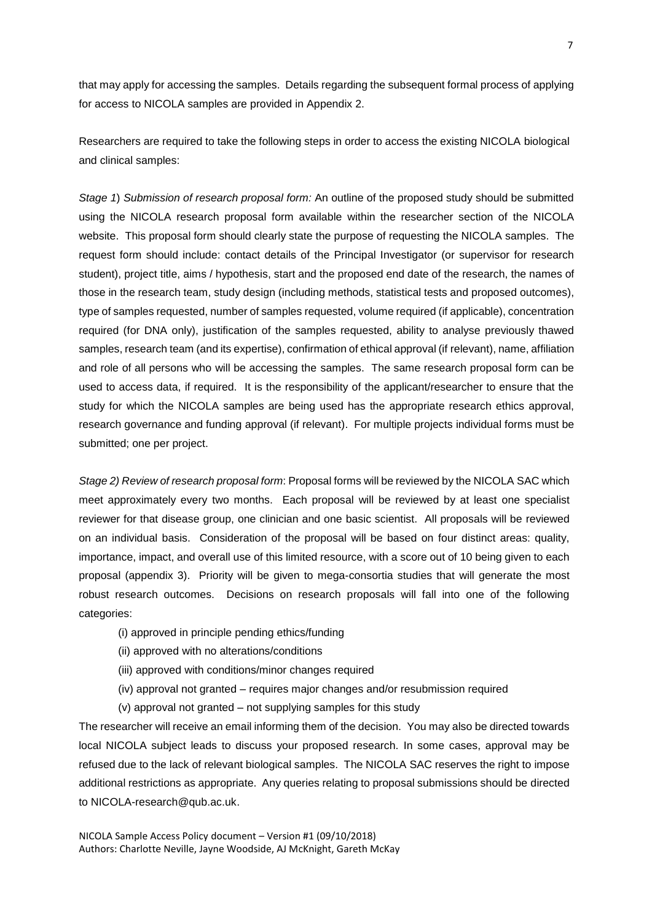that may apply for accessing the samples. Details regarding the subsequent formal process of applying for access to NICOLA samples are provided in Appendix 2.

Researchers are required to take the following steps in order to access the existing NICOLA biological and clinical samples:

*Stage 1*) *Submission of research proposal form:* An outline of the proposed study should be submitted using the NICOLA research proposal form available within the researcher section of the NICOLA website. This proposal form should clearly state the purpose of requesting the NICOLA samples. The request form should include: contact details of the Principal Investigator (or supervisor for research student), project title, aims / hypothesis, start and the proposed end date of the research, the names of those in the research team, study design (including methods, statistical tests and proposed outcomes), type of samples requested, number of samples requested, volume required (if applicable), concentration required (for DNA only), justification of the samples requested, ability to analyse previously thawed samples, research team (and its expertise), confirmation of ethical approval (if relevant), name, affiliation and role of all persons who will be accessing the samples. The same research proposal form can be used to access data, if required. It is the responsibility of the applicant/researcher to ensure that the study for which the NICOLA samples are being used has the appropriate research ethics approval, research governance and funding approval (if relevant). For multiple projects individual forms must be submitted; one per project.

*Stage 2) Review of research proposal form*: Proposal forms will be reviewed by the NICOLA SAC which meet approximately every two months. Each proposal will be reviewed by at least one specialist reviewer for that disease group, one clinician and one basic scientist. All proposals will be reviewed on an individual basis. Consideration of the proposal will be based on four distinct areas: quality, importance, impact, and overall use of this limited resource, with a score out of 10 being given to each proposal (appendix 3). Priority will be given to mega-consortia studies that will generate the most robust research outcomes. Decisions on research proposals will fall into one of the following categories:

- (i) approved in principle pending ethics/funding
- (ii) approved with no alterations/conditions
- (iii) approved with conditions/minor changes required
- (iv) approval not granted requires major changes and/or resubmission required
- (v) approval not granted not supplying samples for this study

The researcher will receive an email informing them of the decision. You may also be directed towards local NICOLA subject leads to discuss your proposed research. In some cases, approval may be refused due to the lack of relevant biological samples. The NICOLA SAC reserves the right to impose additional restrictions as appropriate. Any queries relating to proposal submissions should be directed to NICOLA-research@qub.ac.uk.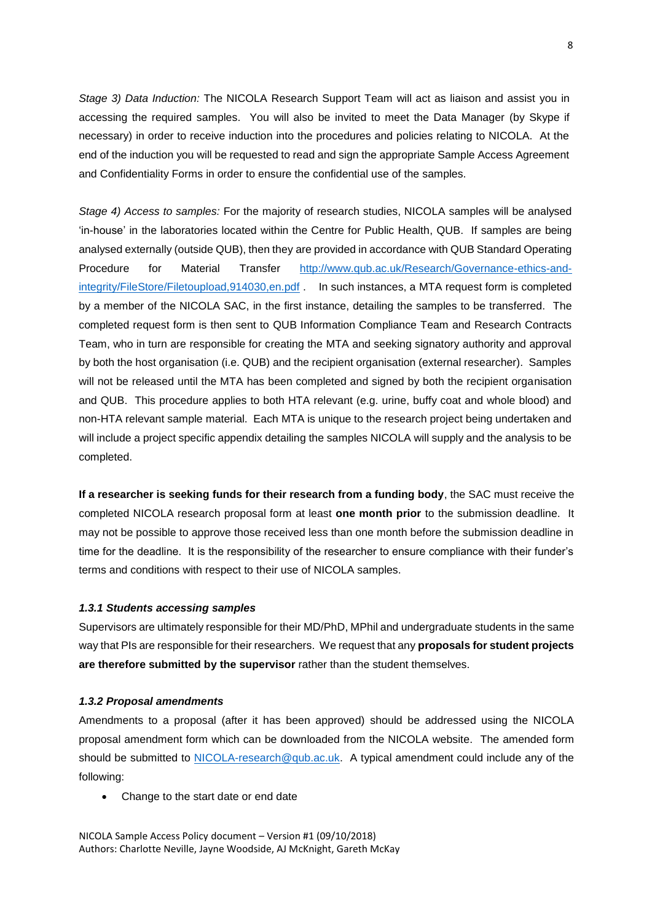*Stage 3) Data Induction:* The NICOLA Research Support Team will act as liaison and assist you in accessing the required samples. You will also be invited to meet the Data Manager (by Skype if necessary) in order to receive induction into the procedures and policies relating to NICOLA. At the end of the induction you will be requested to read and sign the appropriate Sample Access Agreement and Confidentiality Forms in order to ensure the confidential use of the samples.

*Stage 4) Access to samples:* For the majority of research studies, NICOLA samples will be analysed 'in-house' in the laboratories located within the Centre for Public Health, QUB. If samples are being analysed externally (outside QUB), then they are provided in accordance with QUB Standard Operating Procedure for Material Transfer [http://www.qub.ac.uk/Research/Governance-ethics-and](http://www.qub.ac.uk/Research/Governance-ethics-and-integrity/FileStore/Filetoupload,914030,en.pdf)[integrity/FileStore/Filetoupload,914030,en.pdf](http://www.qub.ac.uk/Research/Governance-ethics-and-integrity/FileStore/Filetoupload,914030,en.pdf) . In such instances, a MTA request form is completed by a member of the NICOLA SAC, in the first instance, detailing the samples to be transferred. The completed request form is then sent to QUB Information Compliance Team and Research Contracts Team, who in turn are responsible for creating the MTA and seeking signatory authority and approval by both the host organisation (i.e. QUB) and the recipient organisation (external researcher). Samples will not be released until the MTA has been completed and signed by both the recipient organisation and QUB. This procedure applies to both HTA relevant (e.g. urine, buffy coat and whole blood) and non-HTA relevant sample material. Each MTA is unique to the research project being undertaken and will include a project specific appendix detailing the samples NICOLA will supply and the analysis to be completed.

**If a researcher is seeking funds for their research from a funding body**, the SAC must receive the completed NICOLA research proposal form at least **one month prior** to the submission deadline. It may not be possible to approve those received less than one month before the submission deadline in time for the deadline. It is the responsibility of the researcher to ensure compliance with their funder's terms and conditions with respect to their use of NICOLA samples.

#### *1.3.1 Students accessing samples*

Supervisors are ultimately responsible for their MD/PhD, MPhil and undergraduate students in the same way that PIs are responsible for their researchers. We request that any **proposals for student projects are therefore submitted by the supervisor** rather than the student themselves.

#### *1.3.2 Proposal amendments*

Amendments to a proposal (after it has been approved) should be addressed using the NICOLA proposal amendment form which can be downloaded from the NICOLA website. The amended form should be submitted to [NICOLA-research@qub.ac.uk.](mailto:NICOLA-research@qub.ac.uk) A typical amendment could include any of the following:

• Change to the start date or end date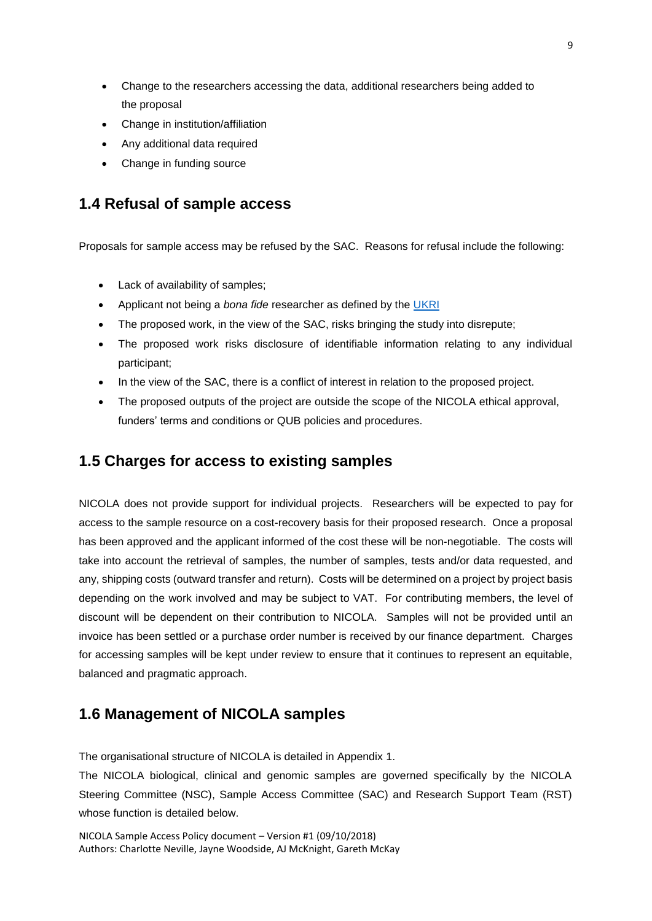- Change to the researchers accessing the data, additional researchers being added to the proposal
- Change in institution/affiliation
- Any additional data required
- Change in funding source

# <span id="page-11-0"></span>**1.4 Refusal of sample access**

Proposals for sample access may be refused by the SAC. Reasons for refusal include the following:

- Lack of availability of samples;
- Applicant not being a *bona fide* researcher as defined by the [UKRI](https://www.ukri.org/)
- The proposed work, in the view of the SAC, risks bringing the study into disrepute;
- The proposed work risks disclosure of identifiable information relating to any individual participant;
- In the view of the SAC, there is a conflict of interest in relation to the proposed project.
- The proposed outputs of the project are outside the scope of the NICOLA ethical approval, funders' terms and conditions or QUB policies and procedures.

# **1.5 Charges for access to existing samples**

NICOLA does not provide support for individual projects. Researchers will be expected to pay for access to the sample resource on a cost-recovery basis for their proposed research. Once a proposal has been approved and the applicant informed of the cost these will be non-negotiable. The costs will take into account the retrieval of samples, the number of samples, tests and/or data requested, and any, shipping costs (outward transfer and return). Costs will be determined on a project by project basis depending on the work involved and may be subject to VAT. For contributing members, the level of discount will be dependent on their contribution to NICOLA. Samples will not be provided until an invoice has been settled or a purchase order number is received by our finance department. Charges for accessing samples will be kept under review to ensure that it continues to represent an equitable, balanced and pragmatic approach.

# **1.6 Management of NICOLA samples**

The organisational structure of NICOLA is detailed in Appendix 1.

The NICOLA biological, clinical and genomic samples are governed specifically by the NICOLA Steering Committee (NSC), Sample Access Committee (SAC) and Research Support Team (RST) whose function is detailed below.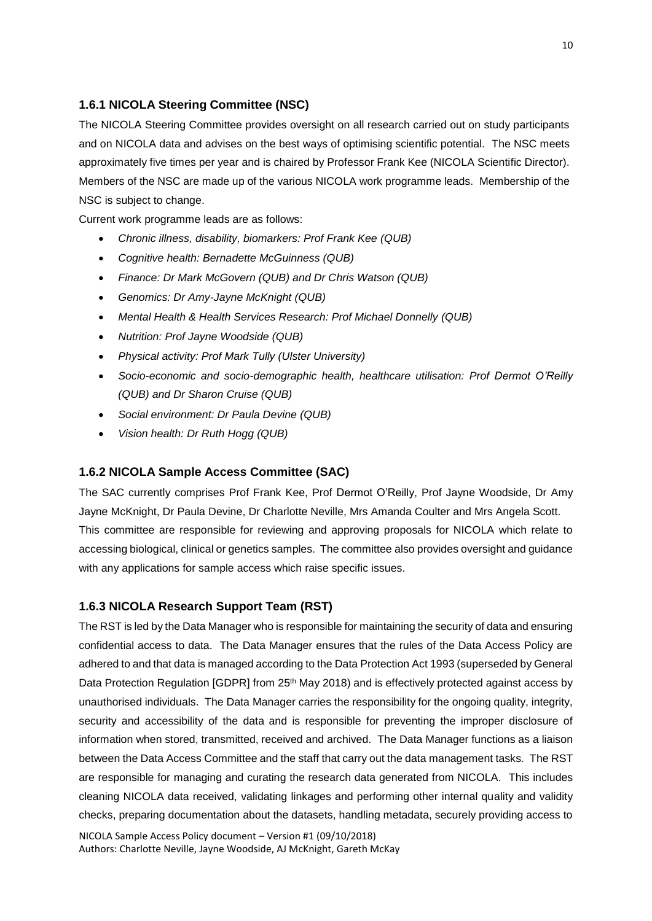# **1.6.1 NICOLA Steering Committee (NSC)**

The NICOLA Steering Committee provides oversight on all research carried out on study participants and on NICOLA data and advises on the best ways of optimising scientific potential. The NSC meets approximately five times per year and is chaired by Professor Frank Kee (NICOLA Scientific Director). Members of the NSC are made up of the various NICOLA work programme leads. Membership of the NSC is subject to change.

Current work programme leads are as follows:

- *Chronic illness, disability, biomarkers: Prof Frank Kee (QUB)*
- *Cognitive health: Bernadette McGuinness (QUB)*
- *Finance: Dr Mark McGovern (QUB) and Dr Chris Watson (QUB)*
- *Genomics: Dr Amy-Jayne McKnight (QUB)*
- *Mental Health & Health Services Research: Prof Michael Donnelly (QUB)*
- *Nutrition: Prof Jayne Woodside (QUB)*
- *Physical activity: Prof Mark Tully (Ulster University)*
- *Socio-economic and socio-demographic health, healthcare utilisation: Prof Dermot O'Reilly (QUB) and Dr Sharon Cruise (QUB)*
- *Social environment: Dr Paula Devine (QUB)*
- *Vision health: Dr Ruth Hogg (QUB)*

#### **1.6.2 NICOLA Sample Access Committee (SAC)**

The SAC currently comprises Prof Frank Kee, Prof Dermot O'Reilly, Prof Jayne Woodside, Dr Amy Jayne McKnight, Dr Paula Devine, Dr Charlotte Neville, Mrs Amanda Coulter and Mrs Angela Scott. This committee are responsible for reviewing and approving proposals for NICOLA which relate to accessing biological, clinical or genetics samples. The committee also provides oversight and guidance with any applications for sample access which raise specific issues.

### <span id="page-12-0"></span>**1.6.3 NICOLA Research Support Team (RST)**

NICOLA Sample Access Policy document – Version #1 (09/10/2018) The RST is led by the Data Manager who is responsible for maintaining the security of data and ensuring confidential access to data. The Data Manager ensures that the rules of the Data Access Policy are adhered to and that data is managed according to the Data Protection Act 1993 (superseded by General Data Protection Regulation [GDPR] from 25<sup>th</sup> May 2018) and is effectively protected against access by unauthorised individuals. The Data Manager carries the responsibility for the ongoing quality, integrity, security and accessibility of the data and is responsible for preventing the improper disclosure of information when stored, transmitted, received and archived. The Data Manager functions as a liaison between the Data Access Committee and the staff that carry out the data management tasks. The RST are responsible for managing and curating the research data generated from NICOLA. This includes cleaning NICOLA data received, validating linkages and performing other internal quality and validity checks, preparing documentation about the datasets, handling metadata, securely providing access to

Authors: Charlotte Neville, Jayne Woodside, AJ McKnight, Gareth McKay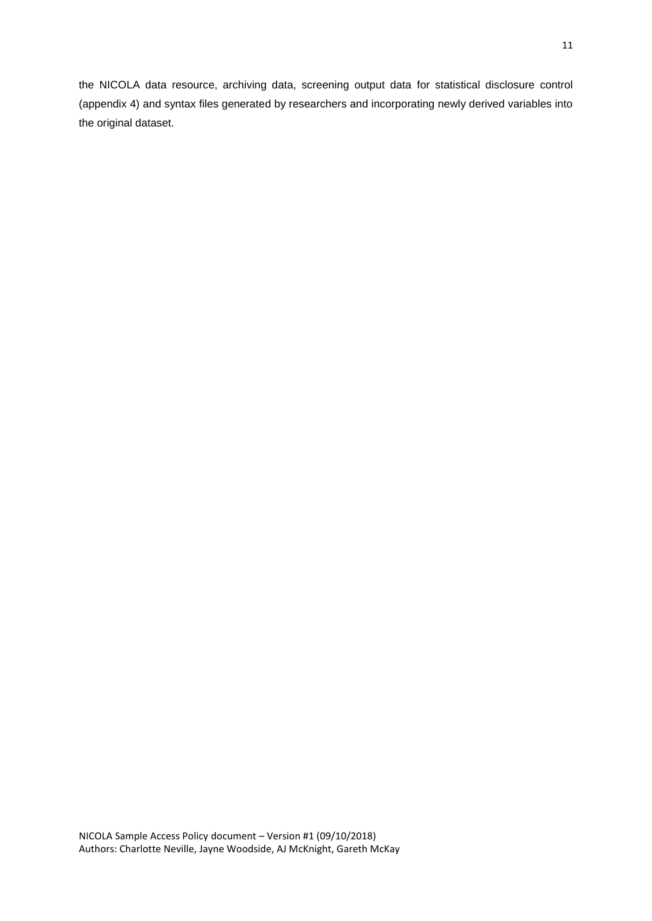the NICOLA data resource, archiving data, screening output data for statistical disclosure control (appendix 4) and syntax files generated by researchers and incorporating newly derived variables into the original dataset.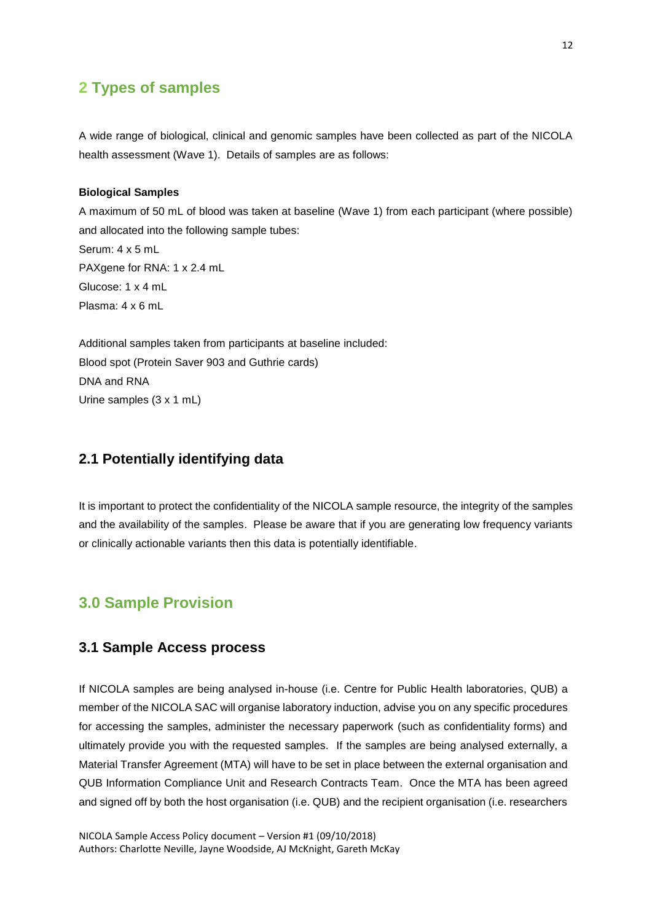# **2 Types of samples**

A wide range of biological, clinical and genomic samples have been collected as part of the NICOLA health assessment (Wave 1). Details of samples are as follows:

#### **Biological Samples**

A maximum of 50 mL of blood was taken at baseline (Wave 1) from each participant (where possible) and allocated into the following sample tubes: Serum: 4 x 5 mL PAXgene for RNA: 1 x 2.4 mL Glucose: 1 x 4 mL Plasma: 4 x 6 mL

Additional samples taken from participants at baseline included: Blood spot (Protein Saver 903 and Guthrie cards) DNA and RNA Urine samples (3 x 1 mL)

# **2.1 Potentially identifying data**

It is important to protect the confidentiality of the NICOLA sample resource, the integrity of the samples and the availability of the samples. Please be aware that if you are generating low frequency variants or clinically actionable variants then this data is potentially identifiable.

# **3.0 Sample Provision**

#### **3.1 Sample Access process**

If NICOLA samples are being analysed in-house (i.e. Centre for Public Health laboratories, QUB) a member of the NICOLA SAC will organise laboratory induction, advise you on any specific procedures for accessing the samples, administer the necessary paperwork (such as confidentiality forms) and ultimately provide you with the requested samples. If the samples are being analysed externally, a Material Transfer Agreement (MTA) will have to be set in place between the external organisation and QUB Information Compliance Unit and Research Contracts Team. Once the MTA has been agreed and signed off by both the host organisation (i.e. QUB) and the recipient organisation (i.e. researchers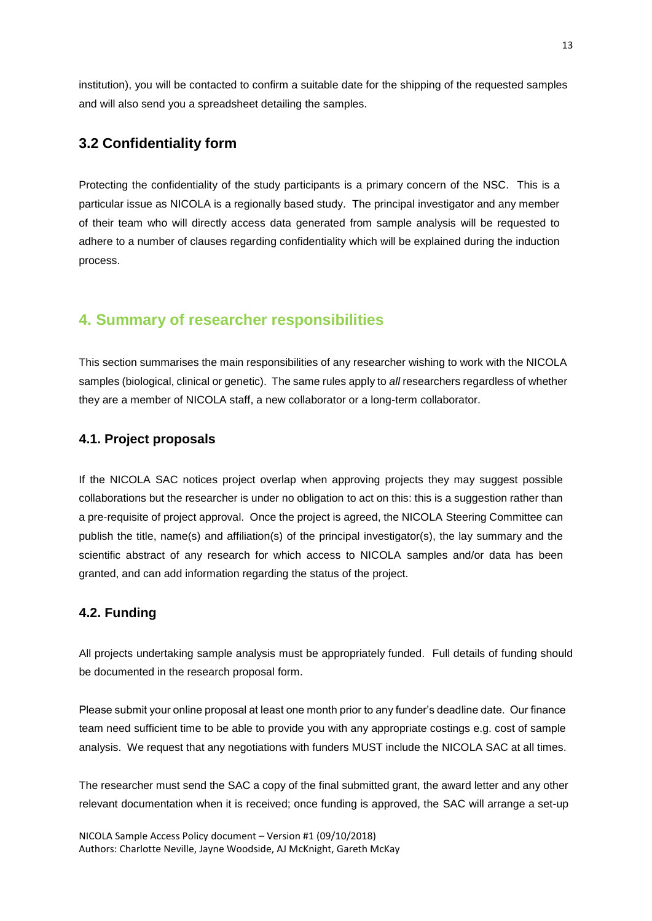institution), you will be contacted to confirm a suitable date for the shipping of the requested samples and will also send you a spreadsheet detailing the samples.

# **3.2 Confidentiality form**

Protecting the confidentiality of the study participants is a primary concern of the NSC. This is a particular issue as NICOLA is a regionally based study. The principal investigator and any member of their team who will directly access data generated from sample analysis will be requested to adhere to a number of clauses regarding confidentiality which will be explained during the induction process.

# **4. Summary of researcher responsibilities**

This section summarises the main responsibilities of any researcher wishing to work with the NICOLA samples (biological, clinical or genetic). The same rules apply to *all* researchers regardless of whether they are a member of NICOLA staff, a new collaborator or a long-term collaborator.

#### **4.1. Project proposals**

If the NICOLA SAC notices project overlap when approving projects they may suggest possible collaborations but the researcher is under no obligation to act on this: this is a suggestion rather than a pre-requisite of project approval. Once the project is agreed, the NICOLA Steering Committee can publish the title, name(s) and affiliation(s) of the principal investigator(s), the lay summary and the scientific abstract of any research for which access to NICOLA samples and/or data has been granted, and can add information regarding the status of the project.

#### **4.2. Funding**

All projects undertaking sample analysis must be appropriately funded. Full details of funding should be documented in the research proposal form.

Please submit your online proposal at least one month prior to any funder's deadline date. Our finance team need sufficient time to be able to provide you with any appropriate costings e.g. cost of sample analysis. We request that any negotiations with funders MUST include the NICOLA SAC at all times.

The researcher must send the SAC a copy of the final submitted grant, the award letter and any other relevant documentation when it is received; once funding is approved, the SAC will arrange a set-up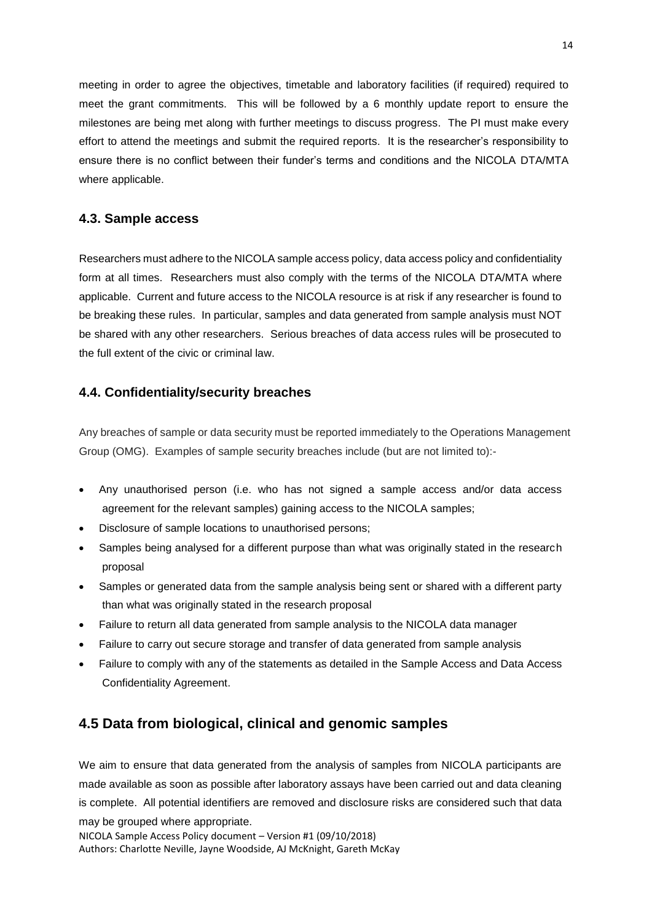meeting in order to agree the objectives, timetable and laboratory facilities (if required) required to meet the grant commitments. This will be followed by a 6 monthly update report to ensure the milestones are being met along with further meetings to discuss progress. The PI must make every effort to attend the meetings and submit the required reports. It is the researcher's responsibility to ensure there is no conflict between their funder's terms and conditions and the NICOLA DTA/MTA where applicable.

#### **4.3. Sample access**

Researchers must adhere to the NICOLA sample access policy, data access policy and confidentiality form at all times. Researchers must also comply with the terms of the NICOLA [DTA/MTA](http://www.bristol.ac.uk/alspac/researchers/data-access/forms/documents/appendix-4-data-transfer-agreement.pdf) where applicable. Current and future access to the NICOLA resource is at risk if any researcher is found to be breaking these rules. In particular, samples and data generated from sample analysis must NOT be shared with any other researchers. Serious breaches of data access rules will be prosecuted to the full extent of the civic or criminal law.

#### **4.4. Confidentiality/security breaches**

Any breaches of sample or data security must be reported immediately to the Operations Management Group (OMG). Examples of sample security breaches include (but are not limited to):-

- Any unauthorised person (i.e. who has not signed a sample access and/or data access agreement for the relevant samples) gaining access to the NICOLA samples;
- Disclosure of sample locations to unauthorised persons;
- Samples being analysed for a different purpose than what was originally stated in the research proposal
- Samples or generated data from the sample analysis being sent or shared with a different party than what was originally stated in the research proposal
- Failure to return all data generated from sample analysis to the NICOLA data manager
- Failure to carry out secure storage and transfer of data generated from sample analysis
- Failure to comply with any of the statements as detailed in the Sample Access and Data Access Confidentiality Agreement.

# **4.5 Data from biological, clinical and genomic samples**

NICOLA Sample Access Policy document – Version #1 (09/10/2018) Authors: Charlotte Neville, Jayne Woodside, AJ McKnight, Gareth McKay We aim to ensure that data generated from the analysis of samples from NICOLA participants are made available as soon as possible after laboratory assays have been carried out and data cleaning is complete. All potential identifiers are removed and disclosure risks are considered such that data may be grouped where appropriate.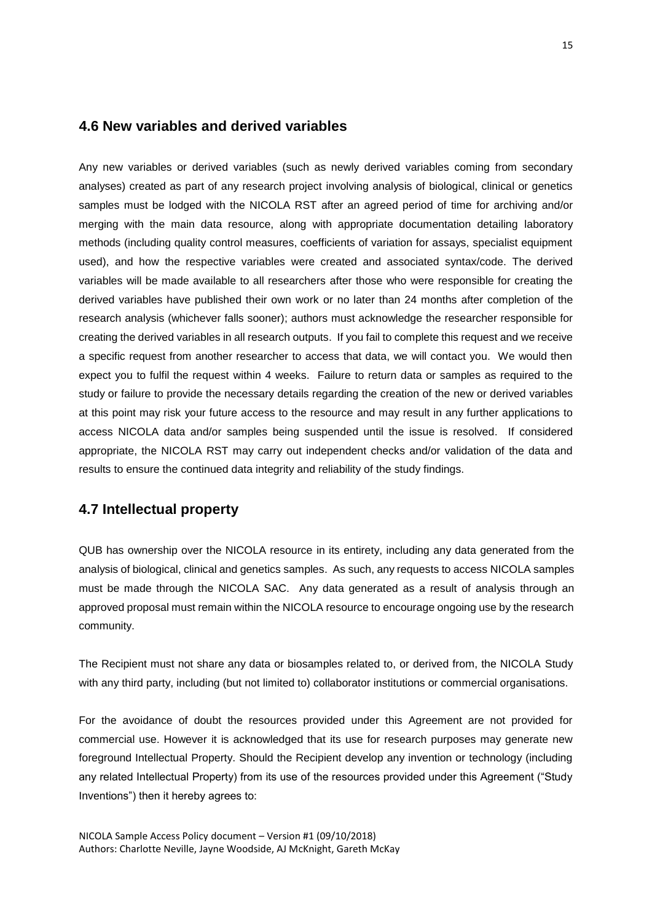### **4.6 New variables and derived variables**

<span id="page-17-0"></span>Any new variables or derived variables (such as newly derived variables coming from secondary analyses) created as part of any research project involving analysis of biological, clinical or genetics samples must be lodged with the NICOLA RST after an agreed period of time for archiving and/or merging with the main data resource, along with appropriate documentation detailing laboratory methods (including quality control measures, coefficients of variation for assays, specialist equipment used), and how the respective variables were created and associated syntax/code. The derived variables will be made available to all researchers after those who were responsible for creating the derived variables have published their own work or no later than 24 months after completion of the research analysis (whichever falls sooner); authors must acknowledge the researcher responsible for creating the derived variables in all research outputs. If you fail to complete this request and we receive a specific request from another researcher to access that data, we will contact you. We would then expect you to fulfil the request within 4 weeks. Failure to return data or samples as required to the study or failure to provide the necessary details regarding the creation of the new or derived variables at this point may risk your future access to the resource and may result in any further applications to access NICOLA data and/or samples being suspended until the issue is resolved. If considered appropriate, the NICOLA RST may carry out independent checks and/or validation of the data and results to ensure the continued data integrity and reliability of the study findings.

# **4.7 Intellectual property**

QUB has ownership over the NICOLA resource in its entirety, including any data generated from the analysis of biological, clinical and genetics samples. As such, any requests to access NICOLA samples must be made through the NICOLA SAC. Any data generated as a result of analysis through an approved proposal must remain within the NICOLA resource to encourage ongoing use by the research community.

The Recipient must not share any data or biosamples related to, or derived from, the NICOLA Study with any third party, including (but not limited to) collaborator institutions or commercial organisations.

For the avoidance of doubt the resources provided under this Agreement are not provided for commercial use. However it is acknowledged that its use for research purposes may generate new foreground Intellectual Property. Should the Recipient develop any invention or technology (including any related Intellectual Property) from its use of the resources provided under this Agreement ("Study Inventions") then it hereby agrees to: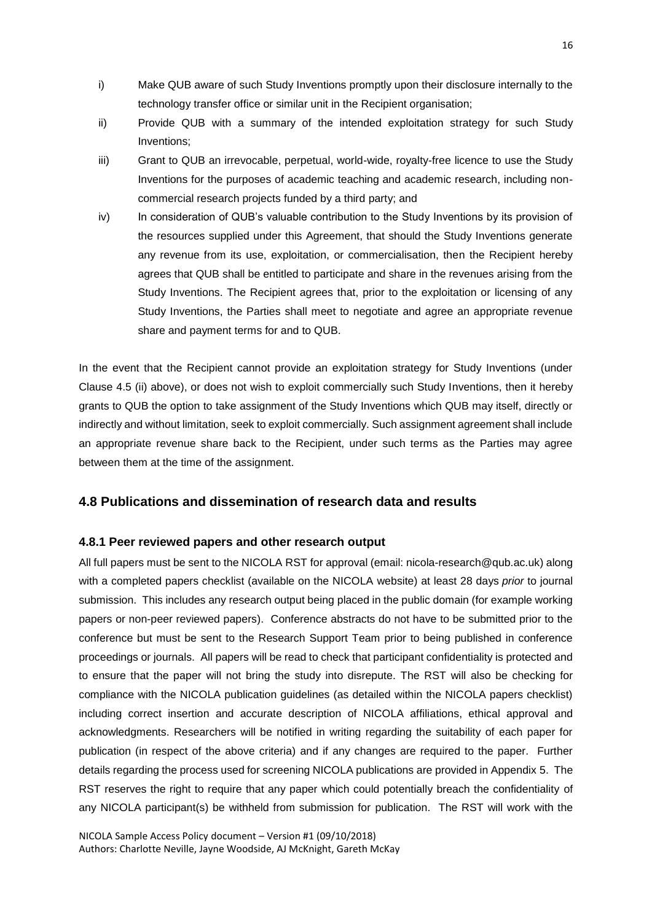- i) Make QUB aware of such Study Inventions promptly upon their disclosure internally to the technology transfer office or similar unit in the Recipient organisation;
- ii) Provide QUB with a summary of the intended exploitation strategy for such Study Inventions;
- iii) Grant to QUB an irrevocable, perpetual, world-wide, royalty-free licence to use the Study Inventions for the purposes of academic teaching and academic research, including noncommercial research projects funded by a third party; and
- iv) In consideration of QUB's valuable contribution to the Study Inventions by its provision of the resources supplied under this Agreement, that should the Study Inventions generate any revenue from its use, exploitation, or commercialisation, then the Recipient hereby agrees that QUB shall be entitled to participate and share in the revenues arising from the Study Inventions. The Recipient agrees that, prior to the exploitation or licensing of any Study Inventions, the Parties shall meet to negotiate and agree an appropriate revenue share and payment terms for and to QUB.

In the event that the Recipient cannot provide an exploitation strategy for Study Inventions (under Clause 4.5 (ii) above), or does not wish to exploit commercially such Study Inventions, then it hereby grants to QUB the option to take assignment of the Study Inventions which QUB may itself, directly or indirectly and without limitation, seek to exploit commercially. Such assignment agreement shall include an appropriate revenue share back to the Recipient, under such terms as the Parties may agree between them at the time of the assignment.

### **4.8 Publications and dissemination of research data and results**

#### **4.8.1 Peer reviewed papers and other research output**

All full papers must be sent to the NICOLA RST for approval (email: nicola-research@qub.ac.uk) along with a completed papers checklist (available on the NICOLA website) at least 28 days *prior* to journal submission. This includes any research output being placed in the public domain (for example working papers or non-peer reviewed papers). Conference abstracts do not have to be submitted prior to the conference but must be sent to the Research Support Team prior to being published in conference proceedings or journals. All papers will be read to check that participant confidentiality is protected and to ensure that the paper will not bring the study into disrepute. The RST will also be checking for compliance with the NICOLA publication guidelines (as detailed within the NICOLA papers checklist) including correct insertion and accurate description of NICOLA affiliations, ethical approval and acknowledgments. Researchers will be notified in writing regarding the suitability of each paper for publication (in respect of the above criteria) and if any changes are required to the paper. Further details regarding the process used for screening NICOLA publications are provided in Appendix 5. The RST reserves the right to require that any paper which could potentially breach the confidentiality of any NICOLA participant(s) be withheld from submission for publication. The RST will work with the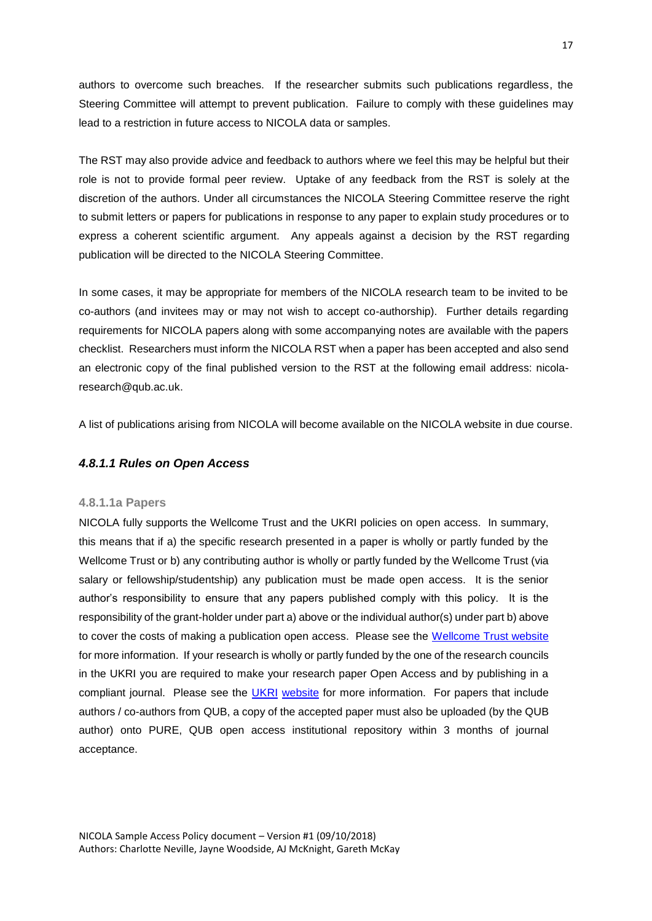authors to overcome such breaches. If the researcher submits such publications regardless, the Steering Committee will attempt to prevent publication. Failure to comply with these guidelines may lead to a restriction in future access to NICOLA data or samples.

The RST may also provide advice and feedback to authors where we feel this may be helpful but their role is not to provide formal peer review. Uptake of any feedback from the RST is solely at the discretion of the authors. Under all circumstances the NICOLA Steering Committee reserve the right to submit letters or papers for publications in response to any paper to explain study procedures or to express a coherent scientific argument. Any appeals against a decision by the RST regarding publication will be directed to the NICOLA Steering Committee.

In some cases, it may be appropriate for members of the NICOLA research team to be invited to be co-authors (and invitees may or may not wish to accept co-authorship). Further details regarding requirements for NICOLA papers along with some accompanying notes are available with the papers checklist. Researchers must inform the NICOLA RST when a paper has been accepted and also send an electronic copy of the final published version to the RST at the following email address: nicolaresearch@qub.ac.uk.

A list of publications arising from NICOLA will become available on the NICOLA website in due course.

#### *4.8.1.1 Rules on Open Access*

#### **4.8.1.1a Papers**

NICOLA fully supports the Wellcome Trust and the UKRI policies on open access. In summary, this means that if a) the specific research presented in a paper is wholly or partly funded by the Wellcome Trust or b) any contributing author is wholly or partly funded by the Wellcome Trust (via salary or fellowship/studentship) any publication must be made open access. It is the senior author's responsibility to ensure that any papers published comply with this policy. It is the responsibility of the grant-holder under part a) above or the individual author(s) under part b) above to cover the costs of making a publication open access. Please see the [Wellcome Trust website](http://www.wellcome.ac.uk/openaccess) for more information. If your research is wholly or partly funded by the one of the research councils in the UKRI you are required to make your research paper Open Access and by publishing in a compliant journal. Please see the **UKRI [website](http://www.rcuk.ac.uk/research/openaccess/)** for more information. For papers that include authors / co-authors from QUB, a copy of the accepted paper must also be uploaded (by the QUB author) onto PURE, QUB open access institutional repository within 3 months of journal acceptance.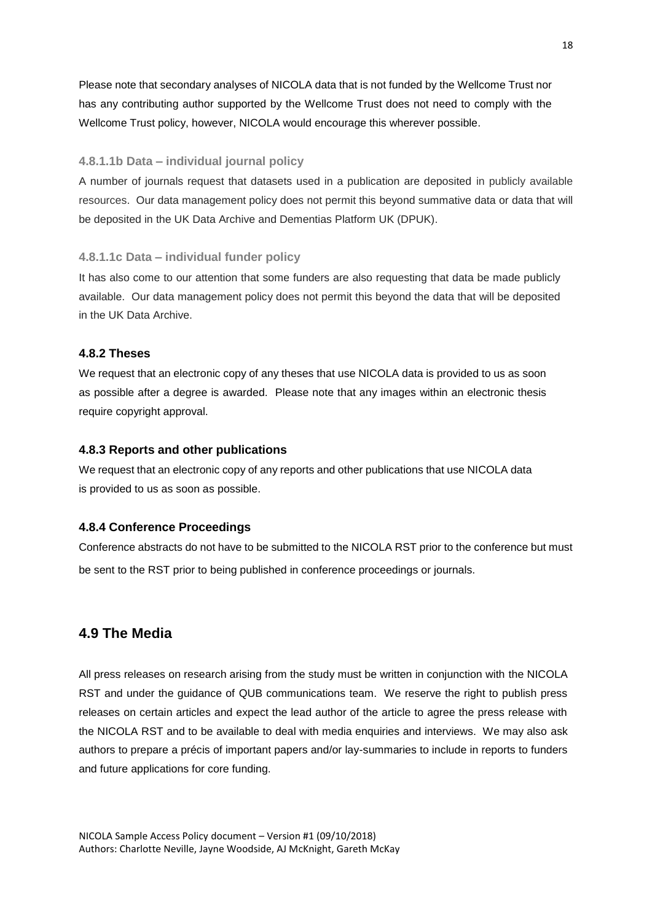Please note that secondary analyses of NICOLA data that is not funded by the Wellcome Trust nor has any contributing author supported by the Wellcome Trust does not need to comply with the Wellcome Trust policy, however, NICOLA would encourage this wherever possible.

#### <span id="page-20-0"></span>**4.8.1.1b Data – individual journal policy**

A number of journals request that datasets used in a publication are deposited in publicly available resources. Our data management policy does not permit this beyond summative data or data that will be deposited in the UK Data Archive and Dementias Platform UK (DPUK).

#### **4.8.1.1c Data – individual funder policy**

It has also come to our attention that some funders are also requesting that data be made publicly available. Our data management policy does not permit this beyond the data that will be deposited in the UK Data Archive.

#### **4.8.2 Theses**

We request that an electronic copy of any theses that use NICOLA data is provided to us as soon as possible after a degree is awarded. Please note that any images within an electronic thesis require copyright approval.

#### **4.8.3 Reports and other publications**

We request that an electronic copy of any reports and other publications that use NICOLA data is provided to us as soon as possible.

#### **4.8.4 Conference Proceedings**

Conference abstracts do not have to be submitted to the NICOLA RST prior to the conference but must be sent to the RST prior to being published in conference proceedings or journals.

# **4.9 The Media**

All press releases on research arising from the study must be written in conjunction with the NICOLA RST and under the guidance of QUB communications team. We reserve the right to publish press releases on certain articles and expect the lead author of the article to agree the press release with the NICOLA RST and to be available to deal with media enquiries and interviews. We may also ask authors to prepare a précis of important papers and/or lay-summaries to include in reports to funders and future applications for core funding.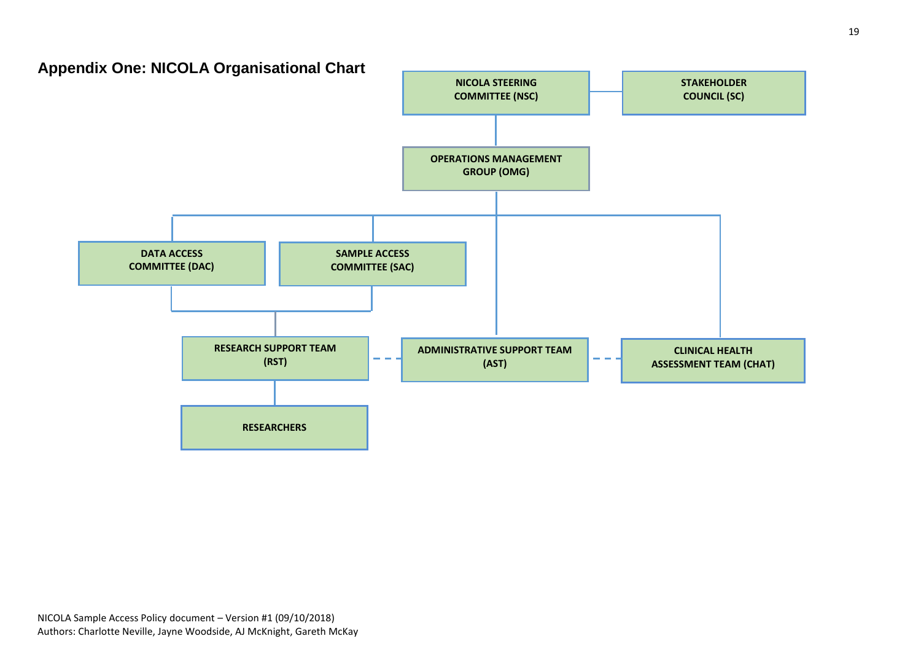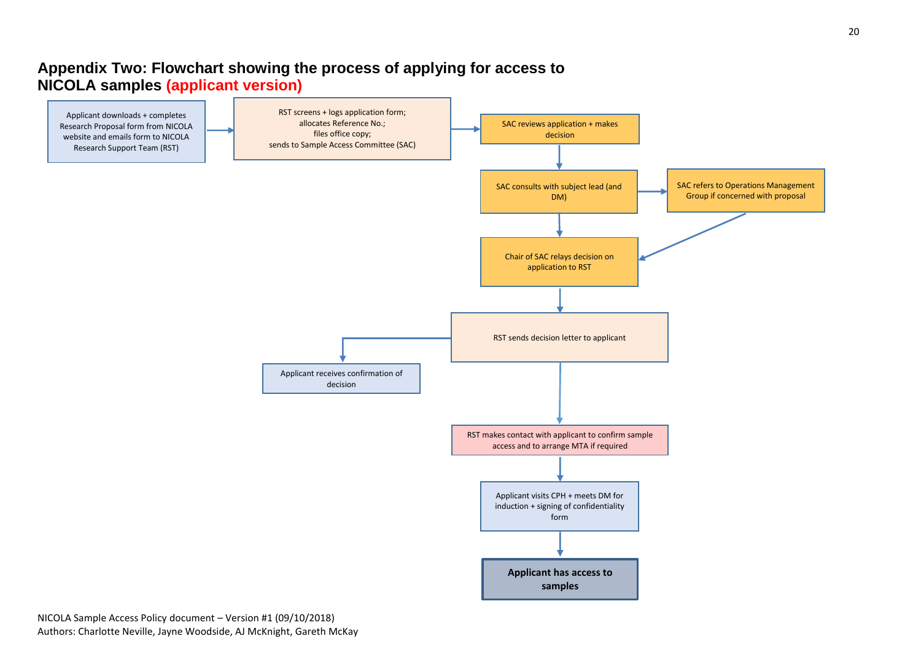# **Appendix Two: Flowchart showing the process of applying for access to NICOLA samples (applicant version)**

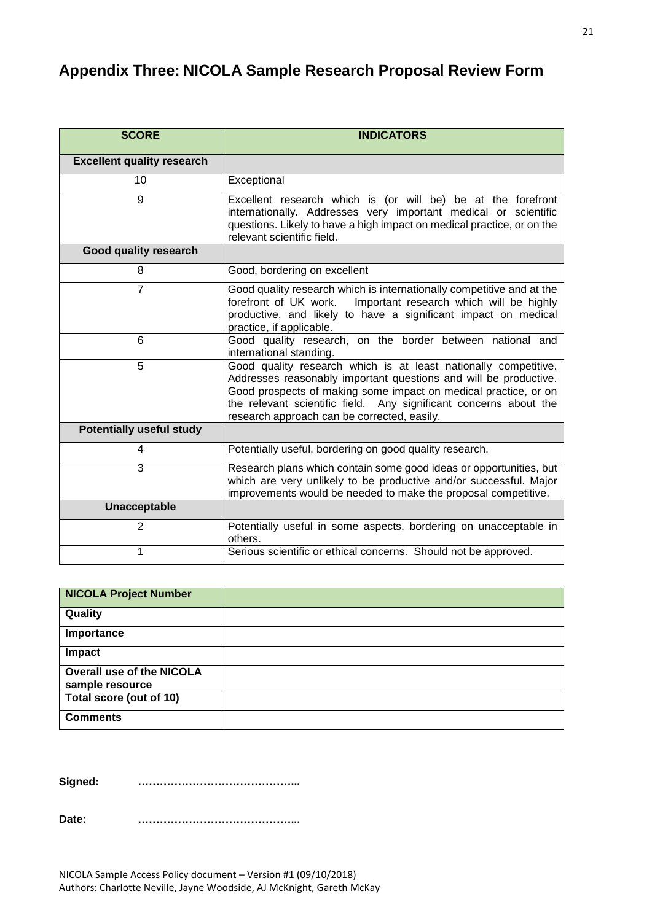# **Appendix Three: NICOLA Sample Research Proposal Review Form**

| <b>SCORE</b>                      | <b>INDICATORS</b>                                                                                                                                                                                                                                                                                                          |
|-----------------------------------|----------------------------------------------------------------------------------------------------------------------------------------------------------------------------------------------------------------------------------------------------------------------------------------------------------------------------|
| <b>Excellent quality research</b> |                                                                                                                                                                                                                                                                                                                            |
| 10                                | Exceptional                                                                                                                                                                                                                                                                                                                |
| 9                                 | Excellent research which is (or will be) be at the forefront<br>internationally. Addresses very important medical or scientific<br>questions. Likely to have a high impact on medical practice, or on the<br>relevant scientific field.                                                                                    |
| Good quality research             |                                                                                                                                                                                                                                                                                                                            |
| 8                                 | Good, bordering on excellent                                                                                                                                                                                                                                                                                               |
| $\overline{7}$                    | Good quality research which is internationally competitive and at the<br>forefront of UK work.<br>Important research which will be highly<br>productive, and likely to have a significant impact on medical<br>practice, if applicable.                                                                                    |
| 6                                 | Good quality research, on the border between national and<br>international standing.                                                                                                                                                                                                                                       |
| $\overline{5}$                    | Good quality research which is at least nationally competitive.<br>Addresses reasonably important questions and will be productive.<br>Good prospects of making some impact on medical practice, or on<br>the relevant scientific field. Any significant concerns about the<br>research approach can be corrected, easily. |
| <b>Potentially useful study</b>   |                                                                                                                                                                                                                                                                                                                            |
| 4                                 | Potentially useful, bordering on good quality research.                                                                                                                                                                                                                                                                    |
| 3                                 | Research plans which contain some good ideas or opportunities, but<br>which are very unlikely to be productive and/or successful. Major<br>improvements would be needed to make the proposal competitive.                                                                                                                  |
| Unacceptable                      |                                                                                                                                                                                                                                                                                                                            |
| $\overline{2}$                    | Potentially useful in some aspects, bordering on unacceptable in<br>others.                                                                                                                                                                                                                                                |
| 1                                 | Serious scientific or ethical concerns. Should not be approved.                                                                                                                                                                                                                                                            |

| <b>NICOLA Project Number</b>                        |  |
|-----------------------------------------------------|--|
| Quality                                             |  |
| Importance                                          |  |
| Impact                                              |  |
| <b>Overall use of the NICOLA</b><br>sample resource |  |
| Total score (out of 10)                             |  |
| <b>Comments</b>                                     |  |

**Signed: ……………………………………...**

**Date: ……………………………………...**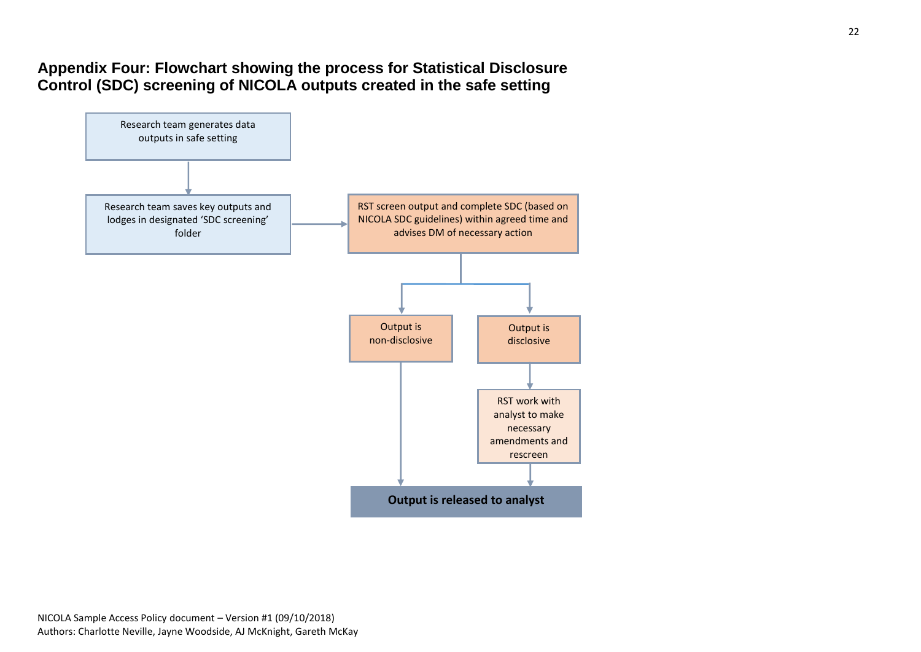# **Appendix Four: Flowchart showing the process for Statistical Disclosure Control (SDC) screening of NICOLA outputs created in the safe setting**

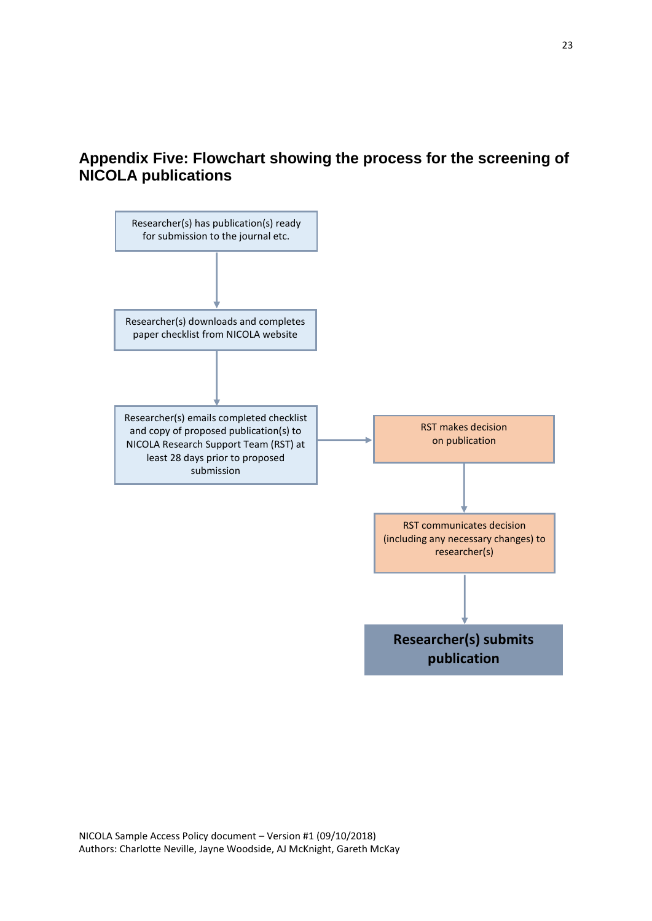# **Appendix Five: Flowchart showing the process for the screening of NICOLA publications**